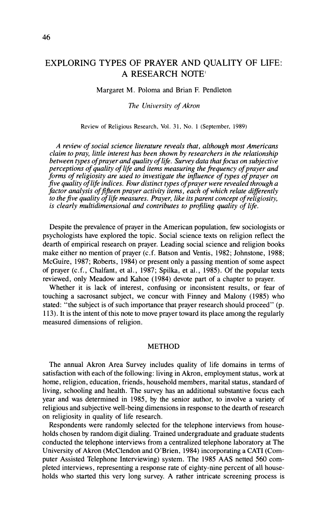# EXPLORING TYPES OF PRAYER AND QUALITY OF LIFE: A RESEARCH NOTE'

# Margaret M. Poloma and Brian F. Pendleton

### *The University of Akron*

Review of Religious Research. Vol. 31, No. 1 (September, 1989)

*A review of social science literature reveals that, although most Americans claim to pray, little interest has been shown by researchers in the relationship between types ofprayer and quality of life. Survey data that focus on subjective perceptions of quality of life and items measuring the frequency of prayer and*  .<br>five quality of life indices. Four distinct types of prayer were revealed through a<br>factor analysis of fifteen prayer activity items, each of which relate differently *to the five quality of life measures. Prayer, like its parent concept of religiosity, is clearly multidimensional and contributes to profiling quality of life.* 

Despite the prevalence of prayer in the American population, few sociologists or psychologists have explored the topic. Social science texts on religion reflect the dearth of empirical research on prayer. Leading social science and religion books make either no mention of prayer (c.f. Batson and Ventis, 1982; Johnstone, 1988; McGuire, 1987; Roberts, 1984) or present only a passing mention of some aspect of prayer (c.f., Chalfant, et al., 1987; Spilka, et al., 1985). Of the popular texts reviewed, only Meadow and Kahoe (1984) devote part of a chapter to prayer.

Whether it is lack of interest, confusing or inconsistent results, or fear of touching a sacrosanct subject, we concur with Finney and Malony (1985) who stated: "the subject is of such importance that prayer research should proceed" (p. 113). It is the intent of this note to move prayer toward its place among the regularly measured dimensions of religion.

# METHOD

The annual Akron Area Survey includes quality of life domains in terms of satisfaction with each of the following: living in Akron, employment status, work at home, religion, education, friends, household members, marital status, standard of living, schooling and health. The survey has an additional substantive focus each year and was determined in 1985, by the senior author, to involve a variety of religious and subjective well-being dimensions in response to the dearth of research on religiosity in quality of life research.

Respondents were randomly selected for the telephone interviews from households chosen by random digit dialing. Trained undergraduate and graduate students conducted the telephone interviews from a centralized telephone laboratory at The University of Akron (McClendon and O'Brien, 1984) incorporating a CATI (Computer Assisted Telephone Interviewing) system. The 1985 AAS netted 560 completed interviews, representing a response rate of eighty-nine percent of all households who started this very long survey. **A** rather intricate screening process is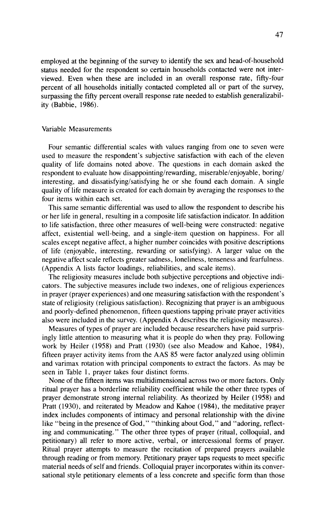employed at the beginning of the survey to identify the sex and head-of-household status needed for the respondent so certain households contacted were not interviewed. Even when these are included in an overall response rate, fifty-four percent of all households initially contacted completed all or part of the survey, surpassing the fifty percent overall response rate needed to establish generalizability (Babbie, 1986).

# Variable Measurements

Four semantic differential scales with values ranging from one to seven were used to measure the respondent's subjective satisfaction with each of the eleven quality of life domains noted above. The questions in each domain asked the respondent to evaluate how disappointing/rewarding, miserable/enjoyable, boring/ interesting, and dissatisfying/satisfying he or she found each domain. A single quality of life measure is created for each domain by averaging the responses to the four items within each set.

This same semantic differential was used to allow the respondent to describe his or her life in general, resulting in a composite life satisfaction indicator. In addition to life satisfaction, three other measures of well-being were constructed: negative affect. existential well-being, and a single-item question on happiness. For all scales except negative affect, a higher number coincides with positive descriptions of life (enjoyable, interesting, rewarding or satisfying). A larger value on the negative affect scale reflects greater sadness, loneliness, tenseness and fearfulness. (Appendix A lists factor loadings, reliabilities, and scale items).

The religiosity measures include both subjective perceptions and objective indicators. The subjective measures include two indexes, one of religious experiences in prayer (prayer experiences) and one measuring satisfaction with the respondent's state of religiosity (religious satisfaction). Recognizing that prayer is an ambiguous and poorly-defined phenomenon, fifteen questions tapping private prayer activities also were included in the survey. (Appendix A describes the religiosity measures).

Measures of types of prayer are included because researchers have paid surprisingly little attention to measuring what it is people do when they pray. Following work by Heiler (1958) and Pratt (1930) (see also Meadow and Kahoe, 1984). fifteen prayer activity items from the AAS 85 were factor analyzed using oblimin and varimax rotation with principal components to extract the factors. As may be seen in Table 1, prayer takes four distinct forms.

None of the fifteen items was multidimensional across two or more factors. Only ritual prayer has a borderline reliability coefficient while the other three types of prayer demonstrate strong internal reliability. As theorized by Heiler (1958) and Pratt (1930), and reiterated by Meadow and Kahoe (1984), the meditative prayer index includes components of intimacy and personal relationship with the divine like "being in the presence of God," "thinking about God," and "adoring, reflecting and communicating." The other three types of prayer (ritual, colloquial, and petitionary) all refer to more active, verbal, or intercessional forms of prayer. Ritual prayer attempts to measure the recitation of prepared prayers available through reading or from memory. Petitionary prayer taps requests to meet specific material needs of self and friends. Colloquial prayer incorporates within its conversational style petitionary elements of a less concrete and specific form than those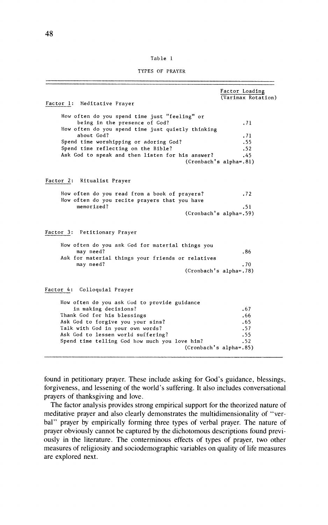| r |  |
|---|--|
|---|--|

TYPES OF PRAYER

| Factor 1: Meditative Prayer                                                      | Factor Loading<br>(Varimax Rotation) |
|----------------------------------------------------------------------------------|--------------------------------------|
| How often do you spend time just "feeling" or                                    |                                      |
| being in the presence of God?                                                    | .71                                  |
| How often do you spend time just quietly thinking                                |                                      |
| about God?                                                                       | . 71                                 |
| Spend time worshipping or adoring God?                                           | .55                                  |
| Spend time reflecting on the Bible?                                              | .52                                  |
| Ask God to speak and then listen for his answer?                                 | .45                                  |
|                                                                                  | (Cronbach's alpha=.81)               |
| Factor 2: Ritualist Prayer                                                       |                                      |
| How often do you read from a book of prayers?                                    | .72                                  |
| How often do you recite prayers that you have                                    |                                      |
| memorized?                                                                       | .51                                  |
|                                                                                  | (Cronbach's alpha=.59)               |
| Factor 3: Petitionary Prayer<br>How often do you ask God for material things you |                                      |
| may need?                                                                        | . 86                                 |
| Ask for material things your friends or relatives                                |                                      |
| may need?                                                                        | .70                                  |
|                                                                                  | (Cronbach's alpha=.78)               |
| Factor 4: Colloquial Prayer                                                      |                                      |
| How often do you ask God to provide guidance                                     |                                      |
| in making decisions?                                                             | .67                                  |
| Thank God for his blessings                                                      | .66                                  |
| Ask God to forgive you your sins?                                                | .65                                  |
| Talk with God in your own words?                                                 | .57                                  |
| Ask God to lessen world suffering?                                               | .55                                  |
| Spend time telling God how much you love him?                                    | .52                                  |
|                                                                                  | (Cronbach's alpha=.85)               |

found in petitionary prayer. These include asking for God's guidance, blessings, forgiveness, and lessening of the world's suffering. It also includes conversational prayers of thanksgiving and love.

The factor analysis provides strong empirical support for the theorized nature of meditative prayer and also clearly demonstrates the multidimensionality of "verbal" prayer by empirically forming three types of verbal prayer. The nature of prayer obviously cannot be captured by the dichotomous descriptions found previously in the literature. The conterminous effects of types of prayer, two other measures of religiosity and sociodemographic variables on quality of life measures are explored next.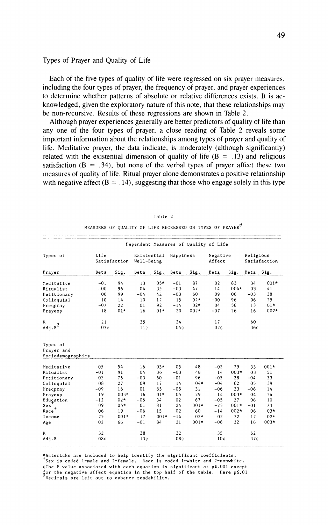# Types of Prayer and Quality of Life

Each of the five types of quality of life were regressed on six prayer measures, including the four types of prayer, the frequency of prayer, and prayer experiences to determine whether patterns of absolute or relative differences exists. It is acknowledged. given the exploratory nature of this note, that these relationships may be non-recursive. Results of these regressions are shown in Table 2.

Although prayer experiences generally are better predictors of quality of life than any one of the four types of prayer, a close reading of Table *2* reveals some important information about the relationships among types of prayer and quality of life. Meditative prayer, the data indicate, is moderately (although significantly) related with the existential dimension of quality of life  $(B = .13)$  and religious satisfaction  $(B = .34)$ , but none of the verbal types of prayer affect these two measures of quality of life. Ritual prayer alone demonstrates a positive relationship with negative affect ( $B = .14$ ), suggesting that those who engage solely in this type

|                                             |                      |        |                           |        |           | Dependent Measures of Quality of Life |                    |        |                           |        |
|---------------------------------------------|----------------------|--------|---------------------------|--------|-----------|---------------------------------------|--------------------|--------|---------------------------|--------|
| Types of                                    | Life<br>Satisfaction |        | Existential<br>Well-Being |        | Happiness |                                       | Negative<br>Affect |        | Religious<br>Satisfaction |        |
| Prayer                                      | Beta                 | Sig.   | Beta                      | Sig.   | Beta      | Sig.                                  | Beta               | Sig.   | Beta                      | Sig.   |
| Meditative                                  | $-01$                | 94     | 13                        | $05*$  | $-01$     | 87                                    | 02                 | 83     | 34                        | $001*$ |
| Ritualist                                   | $-00$                | 96     | 04                        | 35     | $-03$     | 47                                    | 14                 | $004*$ | 03                        | 41     |
| Petitionary                                 | 00                   | 99     | $-04$                     | 42     | $-03$     | 60                                    | 09                 | 06     | $-03$                     | 38     |
| Colloquial                                  | 10                   | 14     | 10                        | 12     | 15        | $02*$                                 | $-00$              | 96     | 06                        | 25     |
| Freqpray                                    | $-07$                | 22     | 01                        | 92     | $-14$     | $02*$                                 | 04                 | 56     | 13                        | $01*$  |
| Prayexp                                     | 18                   | $01*$  | 16                        | $01*$  | 20        | $002*$                                | $-07$              | 26     | 16                        | $002*$ |
| R                                           | 21                   |        | 35                        |        | 24        |                                       | 17                 |        | 60                        |        |
| $Adj.R^2$                                   | 03c                  |        | 11c                       |        | 04c       |                                       | 02c                |        | 36c                       |        |
| Types of<br>Prayer and<br>Sociodemographics |                      |        |                           |        |           |                                       |                    |        |                           |        |
| Meditative                                  | 05                   | 54     | 16                        | $03*$  | 05        | 48                                    | $-02$              | 79     | 33                        | $001*$ |
| Ritualist                                   | $-01$                | 91     | 04                        | 36     | $-03$     | 48                                    | 14                 | $003*$ | 03                        | 51     |
| Petitionary                                 | 02                   | 75     | $-03$                     | 50     | $-01$     | 96                                    | $-05$              | 28     | $-04$                     | 33     |
| Colloquial                                  | 08                   | 27     | 09                        | 17     | 14        | $04*$                                 | $-04$              | 62     | 05                        | 39     |
| Freqpray                                    | $-09$                | 16     | 01                        | 85     | $-05$     | 31                                    | $-06$              | 23     | $-06$                     | 14     |
| Prayexp                                     | 19                   | $003*$ | 16                        | $01*$  | 05        | 29                                    | 14                 | $003*$ | 04                        | 34     |
| Education                                   | $-12$                | $02*$  | $-05$                     | 34     | 02        | 67                                    | $-05$              | 27     | 06                        | 10     |
| Sex                                         | 09                   | $05*$  | 0 <sub>1</sub>            | 81     | 24        | $001*$                                | $-23$              | $001*$ | $-01$                     | 73     |
| Race                                        | 06                   | 19     | $-06$                     | 15     | 02        | 60                                    | $-14$              | $002*$ | 08                        | $03*$  |
| Income                                      | 25                   | $001*$ | 17                        | $001*$ | $-14$     | $02*$                                 | 02                 | 72     | 12                        | $02*$  |
| Age                                         | 02                   | 66     | $-01$                     | 84     | 21        | $001*$                                | $-06$              | 32     | 16                        | $003*$ |
| $\mathbb{R}$                                | 32                   |        | 38                        |        | 32        |                                       | 35                 |        | 62                        |        |
| Adj.R                                       | 08c                  |        | 13c                       |        | 08c       |                                       | 10c                |        | 37c                       |        |

| Table 2 |  |  |  |  |                                                                       |  |  |  |  |
|---------|--|--|--|--|-----------------------------------------------------------------------|--|--|--|--|
|         |  |  |  |  | MEASURES OF QUALITY OF LIFE REGRESSED ON TYPES OF PRAYER <sup>@</sup> |  |  |  |  |

\*Astericks are included to help identify the significant coefficients. Sex is coded 1=male and 2=female. Race is coded 1=white and 2=nonwhite. **<The F value associated with each equation is significant at** p5.001 **except hor tile negative aifect equation in the top half of the table. Here** pS.01 **-Uecinals are left out to enhance readability.**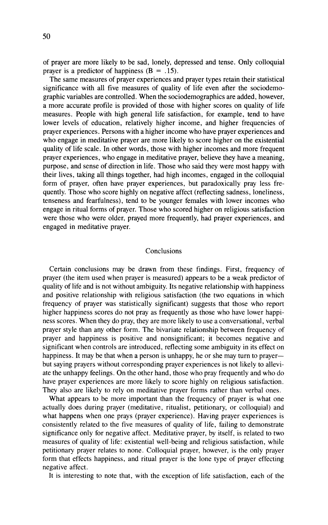of prayer are more likely to be sad, lonely, depressed and tense. Only colloquial prayer is a predictor of happiness  $(B = .15)$ .

The same measures of prayer experiences and prayer types retain their statistical significance with all five measures of quality of life even after the sociodemographic variables are controlled. When the sociodemographics are added, however, a more accurate profile is provided of those with higher scores on quality of life measures. People with high general life satisfaction, for example, tend to have lower levels of education, relatively higher income, and higher frequencies of prayer experiences. Persons with a higher income who have prayer experiences and who engage in meditative prayer are more likely to score higher on the existential quality of life scale. In other words, those with higher incomes and more frequent prayer experiences, who engage in meditative prayer, believe they have a meaning, purpose, and sense of direction in life. Those who said they were most happy with their lives, taking all things together, had high incomes, engaged in the colloquial form of prayer, often have prayer experiences, but paradoxically pray less frequently. Those who score highly on negative affect (reflecting sadness, loneliness, tenseness and fearfulness), tend to be younger females with lower incomes who engage in ritual forms of prayer. Those who scored higher on religious satisfaction were those who were older, prayed more frequently, had prayer experiences, and engaged in meditative prayer.

# **Conclusions**

Certain conclusions may be drawn from these findings. First, frequency of prayer (the item used when prayer is measured) appears to be a weak predictor of quality of life and is not without ambiguity. Its negative relationship with happiness and positive relationship with religious satisfaction (the two equations in which frequency of prayer was statistically significant) suggests that those who report higher happiness scores do not pray as frequently as those who have lower happiness scores. When they do pray, they are more likely to use a conversational, verbal prayer style than any other form. The bivariate relationship between frequency of prayer and happiness is positive and nonsignificant; it becomes negative and significant when controls are introduced, reflecting some ambiguity in its effect on happiness. It may be that when a person is unhappy, he or she may turn to prayerbut saying prayers without corresponding prayer experiences is not likely to alleviate the unhappy feelings. On the other hand, those who pray frequently and who do have prayer experiences are more likely to score highly on religious satisfaction. They also are likely to rely on meditative prayer forms rather than verbal ones.

What appears to be more important than the frequency of prayer is what one actually does during prayer (meditative, ritualist. petitionary, or colloquial) and what happens when one prays (prayer experience). Having prayer experiences is consistently related to the five measures of quality of life, failing to demonstrate significance only for negative affect. Meditative prayer, by itself, is related to two measures of quality of life: existential well-being and religious satisfaction. while petitionary prayer relates to none. Colloquial prayer, however, is the only prayer form that effects happiness, and ritual prayer is the lone type of prayer effecting negative affect.

It is interesting to note that, with the exception of life satisfaction, each of the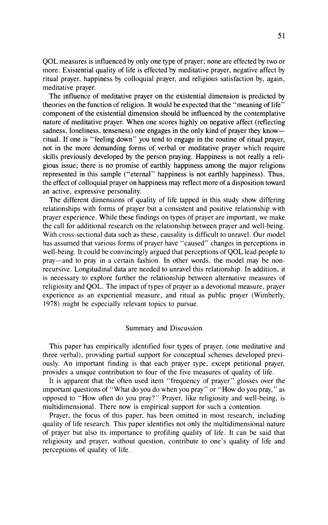QOL measures is influenced by only one type of prayer; none are effected by two or more. Existential quality of life is effected by meditative prayer, negative affect by ritual prayer, happiness by colloquial prayer, and religious satisfaction by, again, meditative prayer.

The influence of meditative prayer on the existential dimension is predicted by theories on the function of religion. It would be expected that the "meaning of life" component of the existential dimension should be influenced by the contemplative nature of meditative prayer. When one scores highly on negative affect (reflecting sadness, loneliness, tenseness) one engages in the only kind of prayer they know ritual. If one is "feeling down" you tend to engage in the routine of ritual prayer, not in the more demanding forms of verbal or meditative prayer which require skills previously developed by the person praying. Happiness is not really a religious issue; there is no promise of earthly happiness among the major religions represented in this sample ("eternal" happiness is not earthly happiness). Thus, the effect of colloquial prayer on happiness may reflect more of a disposition toward an active, expressive personality.

The different dimensions of quality of life tapped in this study show differing relationships with forms of prayer but a consistent and positive relationship with prayer experience. While these findings on types of prayer are important, we make the call for additional research on the relationship between prayer and well-being. With cross-sectional data such as these. causality is difficult to unravel. Our model has assumed that various forms of prayer have "caused" changes in perceptions in well-being. It could be convincingly argued that perceptions of QOL lead people to pray-and to pray in a certain fashion. In other words, the model may be nonrecursive. Longitudinal data are needed to unravel this relationship. In addition, it is necessary to explore further the relationship between alternative measures of religiosity and QOL. The impact of types of prayer as a devotional measure, prayer experience as an experiential measure, and ritual as public prayer (Wimberly. 1978) might be especially relevant topics to pursue.

# Summary and Discussion

This paper has empirically identified four types of prayer, (one meditative and three verbal), providing partial support for conceptual schemes developed previously. An important finding is that each prayer type, except petitional prayer. provides a unique contribution to four of the five measures of quality of life.

It is apparent that the often used item "frequency of prayer" glosses over the important questions of "What do you do when you pray" or "How do you pray." as opposed to "How often do you pray?" Prayer, like religiosity and well-being, is multidimensional. There now is empirical support for such a contention.

Prayer, the focus of this paper, has been omitted in most research, including quality of life research. This paper identifies not only the multidimensional nature of prayer but also its importance to profiling quality of life. It can be said that religiosity and prayer, without question, contribute to one's quality of life and perceptions of quality of life.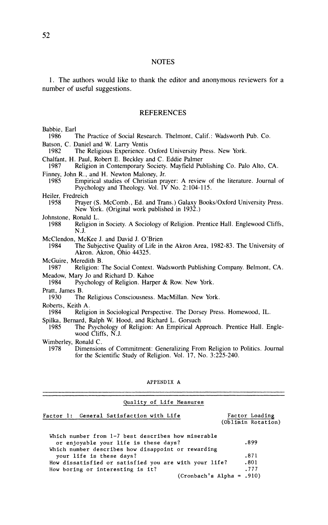#### **NOTES**

1. The authors would like to thank the editor and anonymous reviewers for a number of useful suggestions.

#### REFERENCES

Babbie, Earl<br>1986 1

The Practice of Social Research. Thelmont, Calif.: Wadsworth Pub. Co.

Batson, C. Daniel and W. Larry Ventis<br>1982 – The Religious Experience.

- The Religious Experience. Oxford University Press. New York.
- Chalfant, H. Paul, Robert E. Beckley and C. Eddie Palmer

1987 Religion in Contemporary Society. Mayfield Publishing Co. Palo Alto, CA. Finney, John R., and H. Newton Maloney, Jr.<br>1985 – Empirical studies of Christian pra

- Empirical studies of Christian prayer: A review of the literature. Journal of Psychology and Theology. Vol. IV No. 2:104-115.
- Heiler, Fredreich<br>1958 Praye

Prayer (S. McComb., Ed. and Trans.) Galaxy Books/Oxford University Press. New York. (Original work published in 1932.)

- Johnstone, Ronald L.<br>1988 Religion
- Religion in Society. A Sociology of Religion. Prentice Hall. Englewood Cliffs, N.J.
- McClendon, McKee J. and David J. O'Brien<br>1984 The Subiective Ouality of Life in
	- The Subjective Quality of Life in the Akron Area, 1982-83. The University of Akron. Akron, Ohio 44325.
- McGuire, Meredith B.

1987 Religion: The Social Context. Wadsworth Publishing Company. Belmont, CA. Meadow, Mary Jo and Richard D. Kahoe<br>1984 – Psychology of Religion. Harp

Psychology of Religion. Harper & Row. New York.

Pratt, James B.

- 1930 The Religious Consciousness. MacMillan. New York.
- Roberts, Keith A.<br>1984 Religi

Religion in Sociological Perspective. The Dorsey Press. Homewood, IL.

- Spilka, Bernard, Ralph W. Hood, and Richard L. Gorsuch
- 1985 The Psychology of Religion: An Empirical Approach. Prentice Hall. Englewood Cliffs, N.J.

Wimberley, Ronald C.<br>1978 Dimension

Dimensions of Commitment: Generalizing From Religion to Politics. Journal for the Scientific Study of Religion. Vol.  $17$ , No.  $3:2\overline{2}5-240$ .

#### APPENDIX **A**

| Quality of Life Measures                                                                                                                          |                                      |  |  |  |  |  |  |  |
|---------------------------------------------------------------------------------------------------------------------------------------------------|--------------------------------------|--|--|--|--|--|--|--|
| Factor 1: General Satisfaction with Life                                                                                                          | Factor Loading<br>(Oblimin Rotation) |  |  |  |  |  |  |  |
| Which number from 1-7 best describes how miserable<br>or enjoyable your life is these days?<br>Which number describes how disappoint or rewarding | .899                                 |  |  |  |  |  |  |  |
| your life is these days?                                                                                                                          | -871                                 |  |  |  |  |  |  |  |
| How dissatisfied or satisfied you are with your life?                                                                                             | .801                                 |  |  |  |  |  |  |  |
| How boring or interesting is it?                                                                                                                  | .777                                 |  |  |  |  |  |  |  |
| $(Crohach's Alpha = .910)$                                                                                                                        |                                      |  |  |  |  |  |  |  |